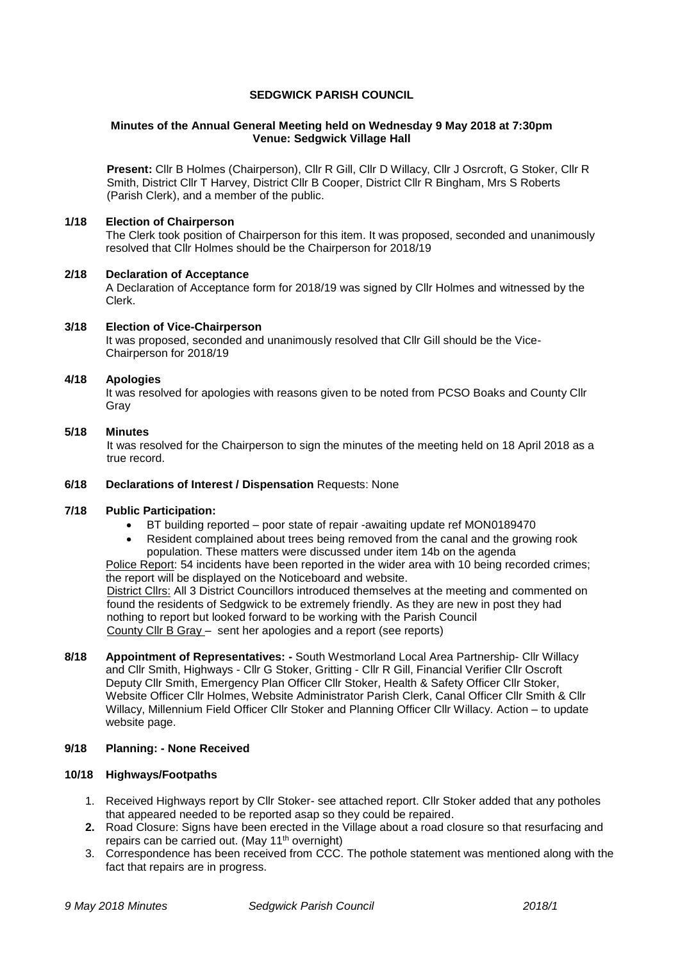## **SEDGWICK PARISH COUNCIL**

### **Minutes of the Annual General Meeting held on Wednesday 9 May 2018 at 7:30pm Venue: Sedgwick Village Hall**

**Present:** Cllr B Holmes (Chairperson), Cllr R Gill, Cllr D Willacy, Cllr J Osrcroft, G Stoker, Cllr R Smith, District Cllr T Harvey, District Cllr B Cooper, District Cllr R Bingham, Mrs S Roberts (Parish Clerk), and a member of the public.

## **1/18 Election of Chairperson**

The Clerk took position of Chairperson for this item. It was proposed, seconded and unanimously resolved that Cllr Holmes should be the Chairperson for 2018/19

#### **2/18 Declaration of Acceptance**

A Declaration of Acceptance form for 2018/19 was signed by Cllr Holmes and witnessed by the Clerk.

#### **3/18 Election of Vice-Chairperson**

It was proposed, seconded and unanimously resolved that Cllr Gill should be the Vice-Chairperson for 2018/19

### **4/18 Apologies**

It was resolved for apologies with reasons given to be noted from PCSO Boaks and County Cllr Gray

### **5/18 Minutes**

It was resolved for the Chairperson to sign the minutes of the meeting held on 18 April 2018 as a true record.

## **6/18 Declarations of Interest / Dispensation** Requests: None

### **7/18 Public Participation:**

- BT building reported poor state of repair -awaiting update ref MON0189470
- Resident complained about trees being removed from the canal and the growing rook population. These matters were discussed under item 14b on the agenda

Police Report: 54 incidents have been reported in the wider area with 10 being recorded crimes; the report will be displayed on the Noticeboard and website.

District Cllrs: All 3 District Councillors introduced themselves at the meeting and commented on found the residents of Sedgwick to be extremely friendly. As they are new in post they had nothing to report but looked forward to be working with the Parish Council County Cllr B Gray – sent her apologies and a report (see reports)

**8/18 Appointment of Representatives: -** South Westmorland Local Area Partnership- Cllr Willacy and Cllr Smith, Highways - Cllr G Stoker, Gritting - Cllr R Gill, Financial Verifier Cllr Oscroft Deputy Cllr Smith, Emergency Plan Officer Cllr Stoker, Health & Safety Officer Cllr Stoker, Website Officer Cllr Holmes, Website Administrator Parish Clerk, Canal Officer Cllr Smith & Cllr Willacy, Millennium Field Officer Cllr Stoker and Planning Officer Cllr Willacy. Action – to update website page.

## **9/18 Planning: - None Received**

#### **10/18 Highways/Footpaths**

- 1. Received Highways report by Cllr Stoker- see attached report. Cllr Stoker added that any potholes that appeared needed to be reported asap so they could be repaired.
- **2.** Road Closure: Signs have been erected in the Village about a road closure so that resurfacing and repairs can be carried out. (May 11<sup>th</sup> overnight)
- 3. Correspondence has been received from CCC. The pothole statement was mentioned along with the fact that repairs are in progress.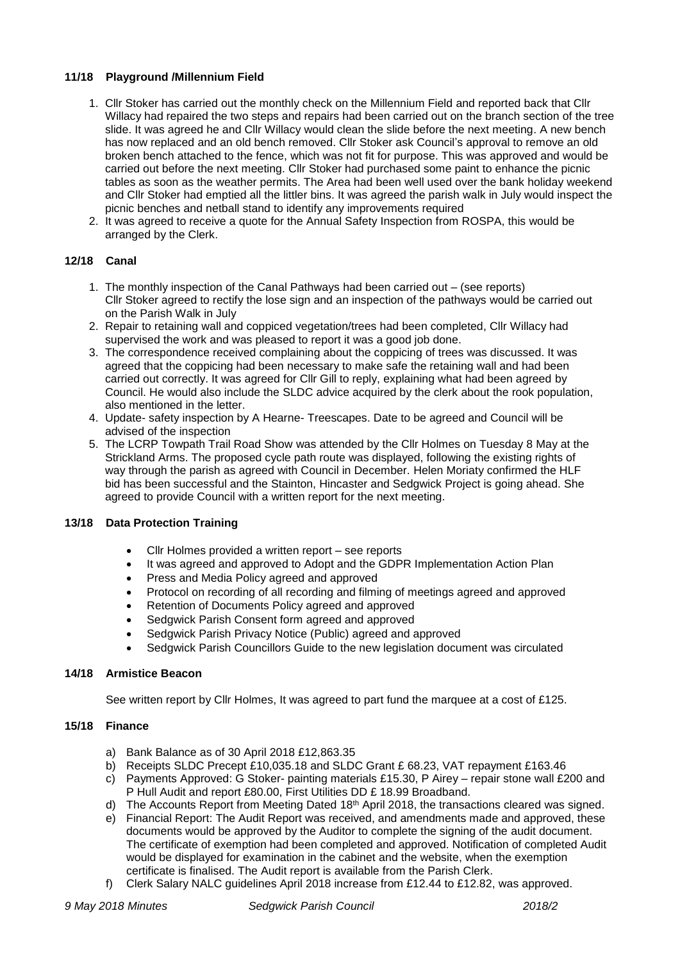# **11/18 Playground /Millennium Field**

- 1. Cllr Stoker has carried out the monthly check on the Millennium Field and reported back that Cllr Willacy had repaired the two steps and repairs had been carried out on the branch section of the tree slide. It was agreed he and Cllr Willacy would clean the slide before the next meeting. A new bench has now replaced and an old bench removed. Cllr Stoker ask Council's approval to remove an old broken bench attached to the fence, which was not fit for purpose. This was approved and would be carried out before the next meeting. Cllr Stoker had purchased some paint to enhance the picnic tables as soon as the weather permits. The Area had been well used over the bank holiday weekend and Cllr Stoker had emptied all the littler bins. It was agreed the parish walk in July would inspect the picnic benches and netball stand to identify any improvements required
- 2. It was agreed to receive a quote for the Annual Safety Inspection from ROSPA, this would be arranged by the Clerk.

# **12/18 Canal**

- 1. The monthly inspection of the Canal Pathways had been carried out (see reports) Cllr Stoker agreed to rectify the lose sign and an inspection of the pathways would be carried out on the Parish Walk in July
- 2. Repair to retaining wall and coppiced vegetation/trees had been completed, Cllr Willacy had supervised the work and was pleased to report it was a good job done.
- 3. The correspondence received complaining about the coppicing of trees was discussed. It was agreed that the coppicing had been necessary to make safe the retaining wall and had been carried out correctly. It was agreed for Cllr Gill to reply, explaining what had been agreed by Council. He would also include the SLDC advice acquired by the clerk about the rook population, also mentioned in the letter.
- 4. Update- safety inspection by A Hearne- Treescapes. Date to be agreed and Council will be advised of the inspection
- 5. The LCRP Towpath Trail Road Show was attended by the Cllr Holmes on Tuesday 8 May at the Strickland Arms. The proposed cycle path route was displayed, following the existing rights of way through the parish as agreed with Council in December. Helen Moriaty confirmed the HLF bid has been successful and the Stainton, Hincaster and Sedgwick Project is going ahead. She agreed to provide Council with a written report for the next meeting.

# **13/18 Data Protection Training**

- Cllr Holmes provided a written report see reports
- It was agreed and approved to Adopt and the GDPR Implementation Action Plan
- Press and Media Policy agreed and approved
- Protocol on recording of all recording and filming of meetings agreed and approved
- Retention of Documents Policy agreed and approved
- Sedgwick Parish Consent form agreed and approved
- Sedgwick Parish Privacy Notice (Public) agreed and approved
- Sedgwick Parish Councillors Guide to the new legislation document was circulated

# **14/18 Armistice Beacon**

See written report by Cllr Holmes, It was agreed to part fund the marquee at a cost of £125.

# **15/18 Finance**

- a) Bank Balance as of 30 April 2018 £12,863.35
- b) Receipts SLDC Precept £10,035.18 and SLDC Grant £ 68.23, VAT repayment £163.46
- c) Payments Approved: G Stoker- painting materials £15.30, P Airey repair stone wall £200 and P Hull Audit and report £80.00, First Utilities DD £ 18.99 Broadband.
- d) The Accounts Report from Meeting Dated 18<sup>th</sup> April 2018, the transactions cleared was signed.
- e) Financial Report: The Audit Report was received, and amendments made and approved, these documents would be approved by the Auditor to complete the signing of the audit document. The certificate of exemption had been completed and approved. Notification of completed Audit would be displayed for examination in the cabinet and the website, when the exemption certificate is finalised. The Audit report is available from the Parish Clerk.
- f) Clerk Salary NALC guidelines April 2018 increase from £12.44 to £12.82, was approved.